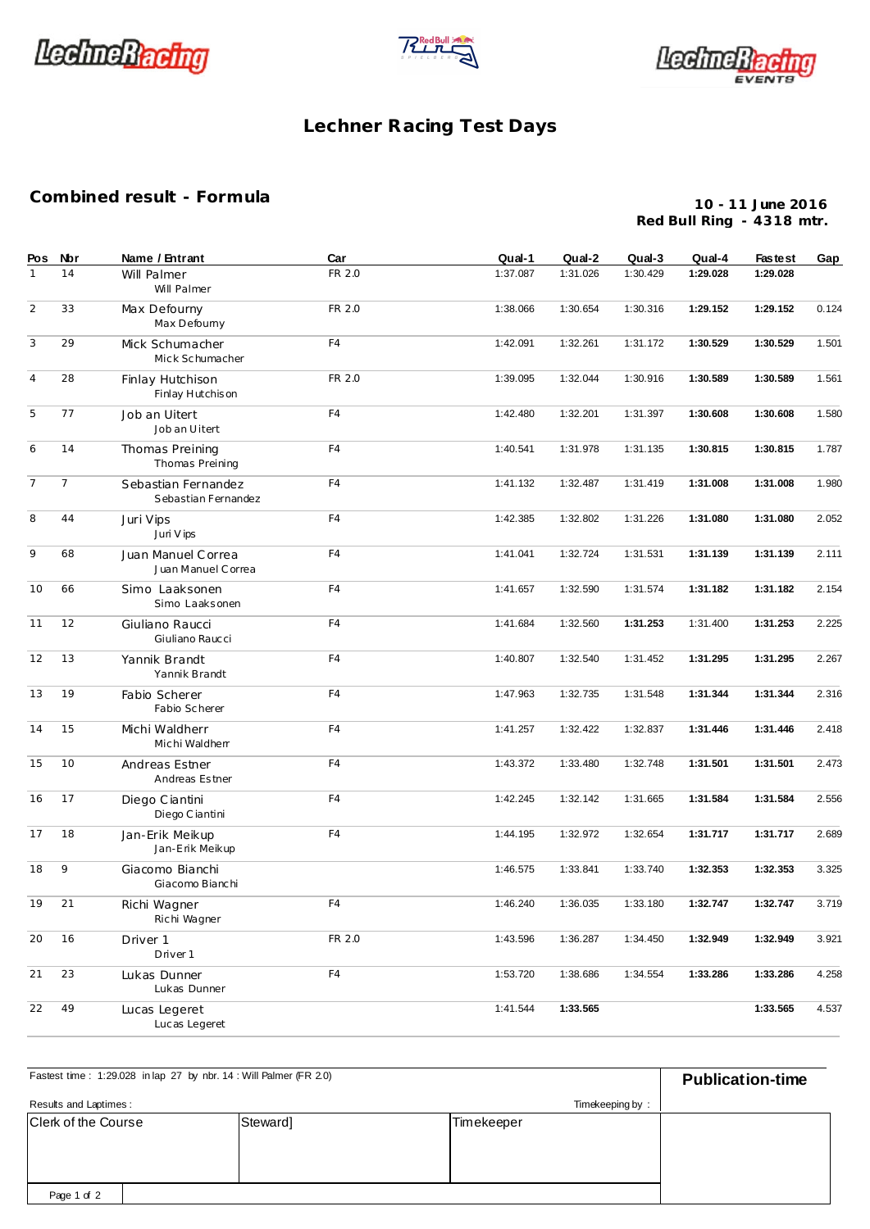





## Lechner Racing Test Days

## Combined result - Formula

10 - 11 June 2016 Red Bull Ring - 4318 mtr.

| Pos            | <b>Nbr</b>     | Name / Entrant                             | Car    | Qual-1   | Qual-2   | Qual-3   | Qual-4   | <b>Fastest</b> | Gap   |
|----------------|----------------|--------------------------------------------|--------|----------|----------|----------|----------|----------------|-------|
| $\mathbf{1}$   | 14             | Will Palmer<br>Will Palmer                 | FR 2.0 | 1:37.087 | 1:31.026 | 1:30.429 | 1:29.028 | 1:29.028       |       |
| $\overline{2}$ | 33             | Max Defourny<br>Max Defourny               | FR 2.0 | 1:38.066 | 1:30.654 | 1:30.316 | 1:29.152 | 1:29.152       | 0.124 |
| 3              | 29             | Mick Schumacher<br>Mick Schumacher         | F4     | 1:42.091 | 1:32.261 | 1:31.172 | 1:30.529 | 1:30.529       | 1.501 |
| $\overline{4}$ | 28             | Finlay Hutchison<br>Finlay Hutchison       | FR 2.0 | 1:39.095 | 1:32.044 | 1:30.916 | 1:30.589 | 1:30.589       | 1.561 |
| 5              | 77             | Job an Uitert<br>Job an Uitert             | F4     | 1:42.480 | 1:32.201 | 1:31.397 | 1:30.608 | 1:30.608       | 1.580 |
| 6              | 14             | Thomas Preining<br>Thomas Preining         | F4     | 1:40.541 | 1:31.978 | 1:31.135 | 1:30.815 | 1:30.815       | 1.787 |
| $\overline{7}$ | $\overline{7}$ | Sebastian Fernandez<br>Sebastian Fernandez | F4     | 1:41.132 | 1:32.487 | 1:31.419 | 1:31.008 | 1:31.008       | 1.980 |
| 8              | 44             | Juri Vips<br>Juri V ips                    | F4     | 1:42.385 | 1:32.802 | 1:31.226 | 1:31.080 | 1:31.080       | 2.052 |
| 9              | 68             | Juan Manuel Correa<br>Juan Manuel Correa   | F4     | 1:41.041 | 1:32.724 | 1:31.531 | 1:31.139 | 1:31.139       | 2.111 |
| 10             | 66             | Simo Laaksonen<br>Simo Laaksonen           | F4     | 1:41.657 | 1:32.590 | 1:31.574 | 1:31.182 | 1:31.182       | 2.154 |
| 11             | 12             | Giuliano Raucci<br>Giuliano Raucci         | F4     | 1:41.684 | 1:32.560 | 1:31.253 | 1:31.400 | 1:31.253       | 2.225 |
| 12             | 13             | Yannik Brandt<br>Yannik Brandt             | F4     | 1:40.807 | 1:32.540 | 1:31.452 | 1:31.295 | 1:31.295       | 2.267 |
| 13             | 19             | Fabio Scherer<br>Fabio Scherer             | F4     | 1:47.963 | 1:32.735 | 1:31.548 | 1:31.344 | 1:31.344       | 2.316 |
| 14             | 15             | Michi Waldherr<br>Michi Waldherr           | F4     | 1:41.257 | 1:32.422 | 1:32.837 | 1:31.446 | 1:31.446       | 2.418 |
| 15             | 10             | Andreas Estner<br>Andreas Estner           | F4     | 1:43.372 | 1:33.480 | 1:32.748 | 1:31.501 | 1:31.501       | 2.473 |
| 16             | 17             | Diego Ciantini<br>Diego Ciantini           | F4     | 1:42.245 | 1:32.142 | 1:31.665 | 1:31.584 | 1:31.584       | 2.556 |
| 17             | 18             | Jan-Erik Meikup<br>Jan-Erik Meikup         | F4     | 1:44.195 | 1:32.972 | 1:32.654 | 1:31.717 | 1:31.717       | 2.689 |
| 18             | 9              | Giacomo Bianchi<br>Giacomo Bianchi         |        | 1:46.575 | 1:33.841 | 1:33.740 | 1:32.353 | 1:32.353       | 3.325 |
| 19             | 21             | Richi Wagner<br>Richi Wagner               | F4     | 1:46.240 | 1:36.035 | 1:33.180 | 1:32.747 | 1:32.747       | 3.719 |
| 20             | 16             | Driver 1<br>Driver 1                       | FR 2.0 | 1:43.596 | 1:36.287 | 1:34.450 | 1:32.949 | 1:32.949       | 3.921 |
| 21             | 23             | Lukas Dunner<br>Lukas Dunner               | F4     | 1:53.720 | 1:38.686 | 1:34.554 | 1:33.286 | 1:33.286       | 4.258 |
| 22             | 49             | Lucas Legeret<br>Lucas Legeret             |        | 1:41.544 | 1:33.565 |          |          | 1:33.565       | 4.537 |

| Fastest time: 1:29.028 in lap 27 by nbr. 14: Will Palmer (FR 2.0) | <b>Publication-time</b> |                 |  |
|-------------------------------------------------------------------|-------------------------|-----------------|--|
| Results and Laptimes:                                             |                         | Timekeeping by: |  |
| Clerk of the Course                                               | Steward]                | Timekeeper      |  |
| Page 1 of 2                                                       |                         |                 |  |